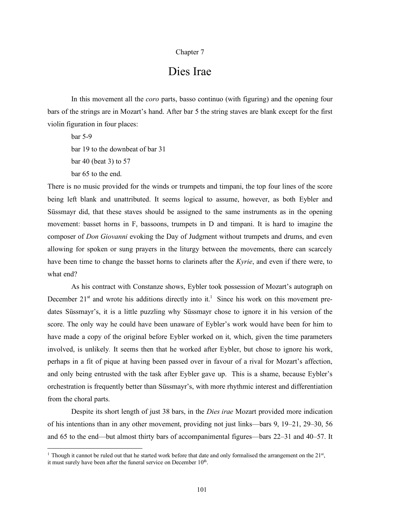## Chapter 7

## Dies Irae

In this movement all the *coro* parts, basso continuo (with figuring) and the opening four bars of the strings are in Mozart's hand. After bar 5 the string staves are blank except for the first violin figuration in four places:

bar 5-9 bar 19 to the downbeat of bar 31 bar 40 (beat 3) to 57 bar 65 to the end.

There is no music provided for the winds or trumpets and timpani, the top four lines of the score being left blank and unattributed. It seems logical to assume, however, as both Eybler and Süssmayr did, that these staves should be assigned to the same instruments as in the opening movement: basset horns in F, bassoons, trumpets in D and timpani. It is hard to imagine the composer of *Don Giovanni* evoking the Day of Judgment without trumpets and drums, and even allowing for spoken or sung prayers in the liturgy between the movements, there can scarcely have been time to change the basset horns to clarinets after the *Kyrie*, and even if there were, to what end?

As his contract with Constanze shows, Eybler took possession of Mozart's autograph on December  $21^{st}$  and wrote his additions directly into it.<sup>1</sup> Since his work on this movement predates Süssmayr's, it is a little puzzling why Süssmayr chose to ignore it in his version of the score. The only way he could have been unaware of Eybler's work would have been for him to have made a copy of the original before Eybler worked on it, which, given the time parameters involved, is unlikely*.* It seems then that he worked after Eybler, but chose to ignore his work, perhaps in a fit of pique at having been passed over in favour of a rival for Mozart's affection, and only being entrusted with the task after Eybler gave up. This is a shame, because Eybler's orchestration is frequently better than Süssmayr's, with more rhythmic interest and differentiation from the choral parts.

Despite its short length of just 38 bars, in the *Dies irae* Mozart provided more indication of his intentions than in any other movement, providing not just links—bars 9, 19–21, 29–30, 56 and 65 to the end—but almost thirty bars of accompanimental figures—bars 22–31 and 40–57. It

<sup>&</sup>lt;sup>1</sup> Though it cannot be ruled out that he started work before that date and only formalised the arrangement on the  $21<sup>st</sup>$ , it must surely have been after the funeral service on December  $10<sup>th</sup>$ .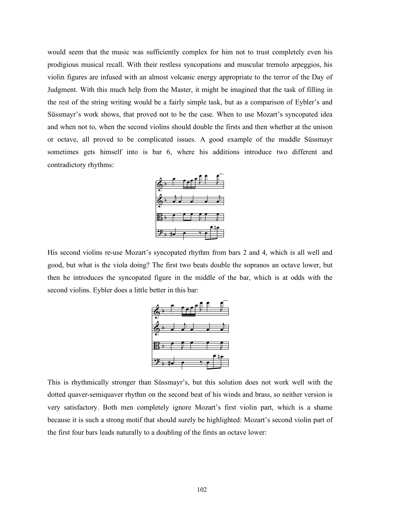would seem that the music was sufficiently complex for him not to trust completely even his prodigious musical recall. With their restless syncopations and muscular tremolo arpeggios, his violin figures are infused with an almost volcanic energy appropriate to the terror of the Day of Judgment. With this much help from the Master, it might be imagined that the task of filling in the rest of the string writing would be a fairly simple task, but as a comparison of Eybler's and Süssmayr's work shows, that proved not to be the case. When to use Mozart's syncopated idea and when not to, when the second violins should double the firsts and then whether at the unison or octave, all proved to be complicated issues. A good example of the muddle Süssmayr sometimes gets himself into is bar 6, where his additions introduce two different and contradictory rhythms:



His second violins re-use Mozart's syncopated rhythm from bars 2 and 4, which is all well and good, but what is the viola doing? The first two beats double the sopranos an octave lower, but then he introduces the syncopated figure in the middle of the bar, which is at odds with the second violins. Eybler does a little better in this bar:



This is rhythmically stronger than Süssmayr's, but this solution does not work well with the dotted quaver-semiquaver rhythm on the second beat of his winds and brass, so neither version is very satisfactory. Both men completely ignore Mozart's first violin part, which is a shame because it is such a strong motif that should surely be highlighted: Mozart's second violin part of the first four bars leads naturally to a doubling of the firsts an octave lower: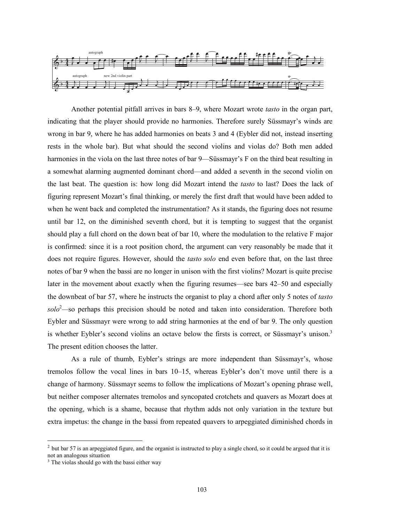

Another potential pitfall arrives in bars 8–9, where Mozart wrote *tasto* in the organ part, indicating that the player should provide no harmonies. Therefore surely Süssmayr's winds are wrong in bar 9, where he has added harmonies on beats 3 and 4 (Eybler did not, instead inserting rests in the whole bar). But what should the second violins and violas do? Both men added harmonies in the viola on the last three notes of bar 9—Süssmayr's F on the third beat resulting in a somewhat alarming augmented dominant chord—and added a seventh in the second violin on the last beat. The question is: how long did Mozart intend the *tasto* to last? Does the lack of figuring represent Mozart's final thinking, or merely the first draft that would have been added to when he went back and completed the instrumentation? As it stands, the figuring does not resume until bar 12, on the diminished seventh chord, but it is tempting to suggest that the organist should play a full chord on the down beat of bar 10, where the modulation to the relative F major is confirmed: since it is a root position chord, the argument can very reasonably be made that it does not require figures. However, should the *tasto solo* end even before that, on the last three notes of bar 9 when the bassi are no longer in unison with the first violins? Mozart is quite precise later in the movement about exactly when the figuring resumes—see bars 42–50 and especially the downbeat of bar 57, where he instructs the organist to play a chord after only 5 notes of *tasto solo*<sup>2</sup> *—*so perhaps this precision should be noted and taken into consideration. Therefore both Eybler and Süssmayr were wrong to add string harmonies at the end of bar 9. The only question is whether Eybler's second violins an octave below the firsts is correct, or Süssmayr's unison.<sup>3</sup> The present edition chooses the latter.

As a rule of thumb, Eybler's strings are more independent than Süssmayr's, whose tremolos follow the vocal lines in bars 10–15, whereas Eybler's don't move until there is a change of harmony. Süssmayr seems to follow the implications of Mozart's opening phrase well, but neither composer alternates tremolos and syncopated crotchets and quavers as Mozart does at the opening, which is a shame, because that rhythm adds not only variation in the texture but extra impetus: the change in the bassi from repeated quavers to arpeggiated diminished chords in

 $2$  but bar 57 is an arpeggiated figure, and the organist is instructed to play a single chord, so it could be argued that it is not an analogous situation

<sup>&</sup>lt;sup>3</sup> The violas should go with the bassi either way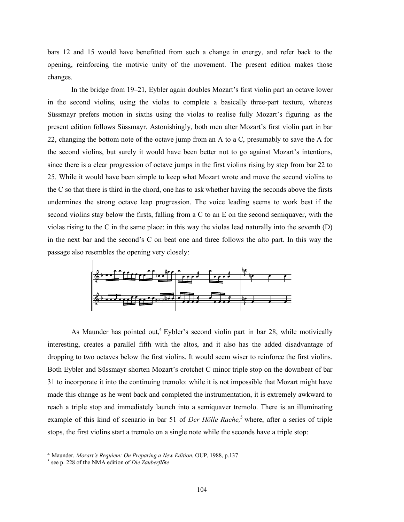bars 12 and 15 would have benefitted from such a change in energy, and refer back to the opening, reinforcing the motivic unity of the movement. The present edition makes those changes.

In the bridge from 19–21, Eybler again doubles Mozart's first violin part an octave lower in the second violins, using the violas to complete a basically three-part texture, whereas Süssmayr prefers motion in sixths using the violas to realise fully Mozart's figuring. as the present edition follows Süssmayr. Astonishingly, both men alter Mozart's first violin part in bar present equion follows Sussmayr. Astonishingly, both men after Mozart s first violin part in bar<br>22, changing the bottom note of the octave jump from an A to a C, presumably to save the A for the second violins, but surely it would have been better not to go against Mozart's intentions, since there is a clear progression of octave jumps in the first violins rising by step from bar 22 to 25. While it would have been simple to keep what Mozart wrote and move the second violins to ES. While it would have been simple to keep what indicate whose and move the second violins to<br>the C so that there is third in the chord, one has to ask whether having the seconds above the firsts undermines the strong octave leap progression. The voice leading seems to work best if the second violins stay below the firsts, falling from a C to an E on the second semiquaver, with the violas rising to the C in the same place: in this way the violas lead naturally into the seventh  $(D)$ in the next bar and the second's C on beat one and three follows the alto part. In this way the passage also resembles the opening very closely: sion. The voice leading seems to work best if the  $\mathbf{r} = \mathbf{r} \times \mathbf{r}$  $\mathbf{r}$ 



As Maunder has pointed out,<sup>4</sup> Eybler's second violin part in bar 28, while motivically interesting, creates a parallel fifth with the altos, and it also has the added disadvantage of dropping to two octaves below the first violins. It would seem wiser to reinforce the first violins. Both Eybler and Süssmayr shorten Mozart's crotchet C minor triple stop on the downbeat of bar 31 to incorporate it into the continuing tremolo: while it is not impossible that Mozart might have made this change as he went back and completed the instrumentation, it is extremely awkward to reach a triple stop and immediately launch into a semiquaver tremolo. There is an illuminating example of this kind of scenario in bar 51 of *Der Hölle Rache,* <sup>5</sup> where, after a series of triple stops, the first violins start a tremolo on a single note while the seconds have a triple stop: bind of scoperio in her 51 of Day Hölle Bache<sup>5</sup> where often where we were constructed in the construction of the construction of the construction of the construction of the construction of the construction of the construction of the construction of the construction of the construct  $Be$  note while the  $Be$ i - rae, di - es

 $\overline{a}$ 

<sup>&</sup>lt;sup>4</sup> Maunder, *Mozart's Requiem: On Preparing a New Edition*, OUP, 1988, p.137

<sup>5</sup> see p. 228 of the NMA edition of *Die Zauberflöte*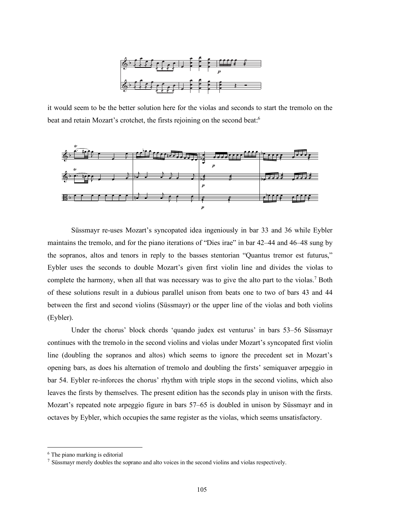

it would seem to be the better solution here for the violas and seconds to start the tremolo on the beat and retain Mozart's crotchet, the firsts rejoining on the second beat.<sup>6</sup>



Süssmayr re-uses Mozart's syncopated idea ingeniously in bar 33 and 36 while Eybler maintains the tremolo, and for the piano iterations of "Dies irae" in bar 42–44 and 46–48 sung by the sopranos, altos and tenors in reply to the basses stentorian "Quantus tremor est futurus," Eybler uses the seconds to double Mozart's given first violin line and divides the violas to complete the harmony, when all that was necessary was to give the alto part to the violas.<sup>7</sup> Both of these solutions result in a dubious parallel unison from beats one to two of bars 43 and 44 between the first and second violins (Süssmayr) or the upper line of the violas and both violins (Eybler).  $\frac{1}{2}$ ses stentorian "Quantus tremor est futu  $\frac{1}{2}$   $\frac{1}{2}$   $\frac{1}{2}$   $\frac{1}{2}$   $\frac{1}{2}$   $\frac{1}{2}$   $\frac{1}{2}$   $\frac{1}{2}$   $\frac{1}{2}$   $\frac{1}{2}$   $\frac{1}{2}$   $\frac{1}{2}$   $\frac{1}{2}$   $\frac{1}{2}$   $\frac{1}{2}$   $\frac{1}{2}$   $\frac{1}{2}$   $\frac{1}{2}$   $\frac{1}{2}$   $\frac{1}{2}$   $\frac{1}{2}$   $\frac{1}{2}$   $\cos$  using  $\cos$  is

Under the chorus' block chords 'quando judex est venturus' in bars 53-56 Süssmayr continues with the tremolo in the second violins and violas under Mozart's syncopated first violin line (doubling the sopranos and altos) which seems to ignore the precedent set in Mozart's opening bars, as does his alternation of tremolo and doubling the firsts' semiquaver arpeggio in bar 54. Eybler re-inforces the chorus' rhythm with triple stops in the second violins, which also leaves the firsts by themselves. The present edition has the seconds play in unison with the firsts. Mozart's repeated note arpeggio figure in bars 57–65 is doubled in unison by Süssmayr and in octaves by Eybler, which occupies the same register as the violas, which seems unsatisfactory.

 <sup>6</sup> The piano marking is editorial

<sup>7</sup> Süssmayr merely doubles the soprano and alto voices in the second violins and violas respectively.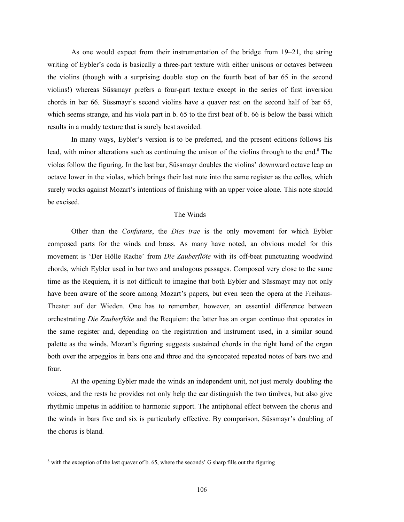As one would expect from their instrumentation of the bridge from 19–21, the string writing of Eybler's coda is basically a three-part texture with either unisons or octaves between the violins (though with a surprising double stop on the fourth beat of bar 65 in the second violins!) whereas Süssmayr prefers a four-part texture except in the series of first inversion chords in bar 66. Süssmayr's second violins have a quaver rest on the second half of bar 65, which seems strange, and his viola part in b. 65 to the first beat of b. 66 is below the bassi which results in a muddy texture that is surely best avoided.

In many ways, Eybler's version is to be preferred, and the present editions follows his lead, with minor alterations such as continuing the unison of the violins through to the end.<sup>8</sup> The violas follow the figuring. In the last bar, Süssmayr doubles the violins' downward octave leap an octave lower in the violas, which brings their last note into the same register as the cellos, which surely works against Mozart's intentions of finishing with an upper voice alone. This note should be excised.

## The Winds

Other than the *Confutatis*, the *Dies irae* is the only movement for which Eybler composed parts for the winds and brass. As many have noted, an obvious model for this movement is 'Der Hölle Rache' from *Die Zauberflöte* with its off-beat punctuating woodwind chords, which Eybler used in bar two and analogous passages. Composed very close to the same time as the Requiem, it is not difficult to imagine that both Eybler and Süssmayr may not only have been aware of the score among Mozart's papers, but even seen the opera at the Freihaus-Theater auf der Wieden. One has to remember, however, an essential difference between orchestrating *Die Zauberflöte* and the Requiem: the latter has an organ continuo that operates in the same register and, depending on the registration and instrument used, in a similar sound palette as the winds. Mozart's figuring suggests sustained chords in the right hand of the organ both over the arpeggios in bars one and three and the syncopated repeated notes of bars two and four.

At the opening Eybler made the winds an independent unit, not just merely doubling the voices, and the rests he provides not only help the ear distinguish the two timbres, but also give rhythmic impetus in addition to harmonic support. The antiphonal effect between the chorus and the winds in bars five and six is particularly effective. By comparison, Süssmayr's doubling of the chorus is bland.

<sup>&</sup>lt;sup>8</sup> with the exception of the last quaver of b. 65, where the seconds' G sharp fills out the figuring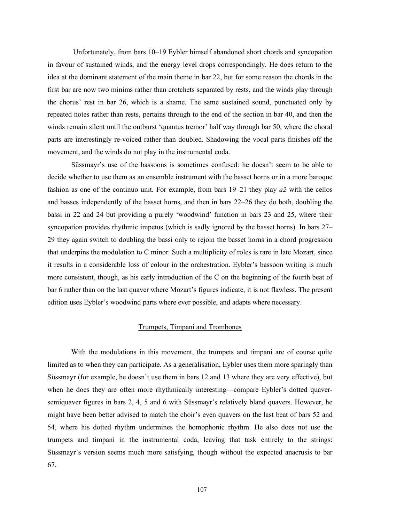Unfortunately, from bars 10–19 Eybler himself abandoned short chords and syncopation in favour of sustained winds, and the energy level drops correspondingly. He does return to the idea at the dominant statement of the main theme in bar 22, but for some reason the chords in the first bar are now two minims rather than crotchets separated by rests, and the winds play through the chorus' rest in bar 26, which is a shame. The same sustained sound, punctuated only by repeated notes rather than rests, pertains through to the end of the section in bar 40, and then the winds remain silent until the outburst 'quantus tremor' half way through bar 50, where the choral parts are interestingly re-voiced rather than doubled. Shadowing the vocal parts finishes off the movement, and the winds do not play in the instrumental coda.

Süssmayr's use of the bassoons is sometimes confused: he doesn't seem to be able to decide whether to use them as an ensemble instrument with the basset horns or in a more baroque fashion as one of the continuo unit. For example, from bars 19–21 they play *a2* with the cellos and basses independently of the basset horns, and then in bars 22–26 they do both, doubling the bassi in 22 and 24 but providing a purely 'woodwind' function in bars 23 and 25, where their syncopation provides rhythmic impetus (which is sadly ignored by the basset horns). In bars 27– 29 they again switch to doubling the bassi only to rejoin the basset horns in a chord progression that underpins the modulation to C minor. Such a multiplicity of roles is rare in late Mozart, since it results in a considerable loss of colour in the orchestration. Eybler's bassoon writing is much more consistent, though, as his early introduction of the C on the beginning of the fourth beat of bar 6 rather than on the last quaver where Mozart's figures indicate, it is not flawless. The present edition uses Eybler's woodwind parts where ever possible, and adapts where necessary.

## Trumpets, Timpani and Trombones

With the modulations in this movement, the trumpets and timpani are of course quite limited as to when they can participate. As a generalisation, Eybler uses them more sparingly than Süssmayr (for example, he doesn't use them in bars 12 and 13 where they are very effective), but when he does they are often more rhythmically interesting—compare Eybler's dotted quaversemiquaver figures in bars 2, 4, 5 and 6 with Süssmayr's relatively bland quavers. However, he might have been better advised to match the choir's even quavers on the last beat of bars 52 and 54, where his dotted rhythm undermines the homophonic rhythm. He also does not use the trumpets and timpani in the instrumental coda, leaving that task entirely to the strings: Süssmayr's version seems much more satisfying, though without the expected anacrusis to bar 67.